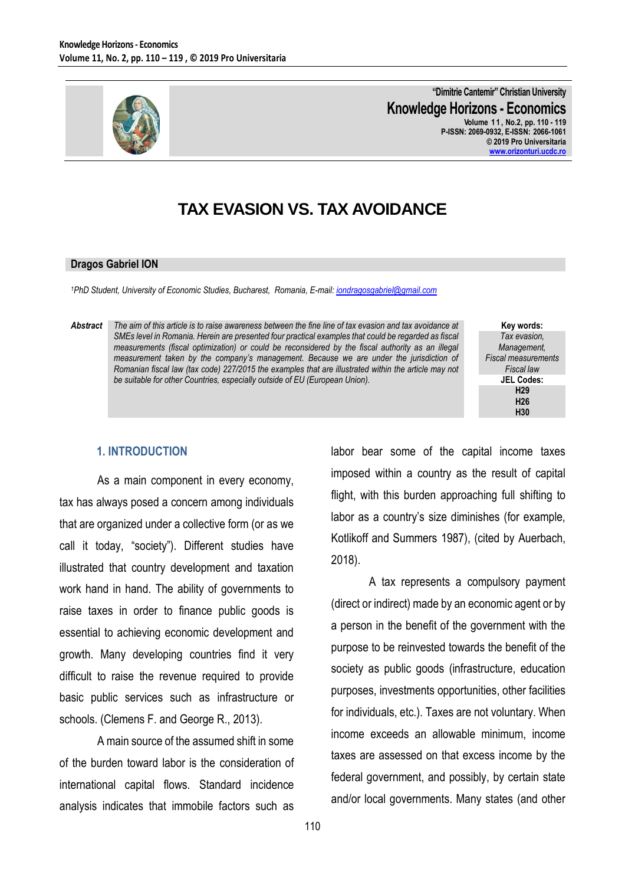

**"Dimitrie Cantemir" Christian University Knowledge Horizons - Economics Volume 1 1 , No.2, pp. 110 - 119 P-ISSN: 2069-0932, E-ISSN: 2066-1061 © 2019 Pro Universitaria [www.orizonturi.ucdc.ro](http://www.orizonturi.ucdc.ro/)**

# **TAX EVASION VS. TAX AVOIDANCE**

#### **Dragos Gabriel ION**

*<sup>1</sup>PhD Student, University of Economic Studies, Bucharest, Romania, E-mail[: iondragosgabriel@gmail.com](mailto:iondragosgabriel@gmail.com)*

*Abstract The aim of this article is to raise awareness between the fine line of tax evasion and tax avoidance at SMEs level in Romania. Herein are presented four practical examples that could be regarded as fiscal measurements (fiscal optimization) or could be reconsidered by the fiscal authority as an illegal measurement taken by the company's management. Because we are under the jurisdiction of Romanian fiscal law (tax code) 227/2015 the examples that are illustrated within the article may not be suitable for other Countries, especially outside of EU (European Union).*

**Key words:** *Tax evasion, Management, Fiscal measurements Fiscal law* **JEL Codes: H29 H26 H30**

#### **1. INTRODUCTION**

As a main component in every economy, tax has always posed a concern among individuals that are organized under a collective form (or as we call it today, "society"). Different studies have illustrated that country development and taxation work hand in hand. The ability of governments to raise taxes in order to finance public goods is essential to achieving economic development and growth. Many developing countries find it very difficult to raise the revenue required to provide basic public services such as infrastructure or schools. (Clemens F. and George R., 2013).

A main source of the assumed shift in some of the burden toward labor is the consideration of international capital flows. Standard incidence analysis indicates that immobile factors such as labor bear some of the capital income taxes imposed within a country as the result of capital flight, with this burden approaching full shifting to labor as a country's size diminishes (for example, Kotlikoff and Summers 1987), (cited by Auerbach, 2018).

A tax represents a compulsory payment (direct or indirect) made by an economic agent or by a person in the benefit of the government with the purpose to be reinvested towards the benefit of the society as public goods (infrastructure, education purposes, investments opportunities, other facilities for individuals, etc.). Taxes are not voluntary. When income exceeds an allowable minimum, income taxes are assessed on that excess income by the federal government, and possibly, by certain state and/or local governments. Many states (and other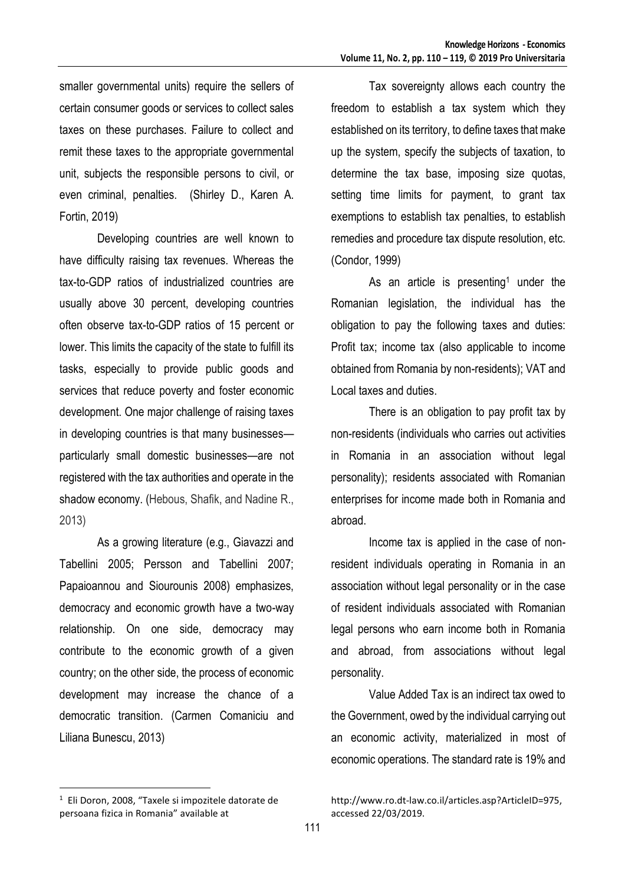smaller governmental units) require the sellers of certain consumer goods or services to collect sales taxes on these purchases. Failure to collect and remit these taxes to the appropriate governmental unit, subjects the responsible persons to civil, or even criminal, penalties. (Shirley D., Karen A. Fortin, 2019)

Developing countries are well known to have difficulty raising tax revenues. Whereas the tax-to-GDP ratios of industrialized countries are usually above 30 percent, developing countries often observe tax-to-GDP ratios of 15 percent or lower. This limits the capacity of the state to fulfill its tasks, especially to provide public goods and services that reduce poverty and foster economic development. One major challenge of raising taxes in developing countries is that many businesses particularly small domestic businesses—are not registered with the tax authorities and operate in the shadow economy. (Hebous, Shafik, and Nadine R., 2013)

As a growing literature (e.g., Giavazzi and Tabellini 2005; Persson and Tabellini 2007; Papaioannou and Siourounis 2008) emphasizes, democracy and economic growth have a two-way relationship. On one side, democracy may contribute to the economic growth of a given country; on the other side, the process of economic development may increase the chance of a democratic transition. (Carmen Comaniciu and Liliana Bunescu, 2013)

Tax sovereignty allows each country the freedom to establish a tax system which they established on its territory, to define taxes that make up the system, specify the subjects of taxation, to determine the tax base, imposing size quotas, setting time limits for payment, to grant tax exemptions to establish tax penalties, to establish remedies and procedure tax dispute resolution, etc. (Condor, 1999)

As an article is presenting<sup>1</sup> under the Romanian legislation, the individual has the obligation to pay the following taxes and duties: Profit tax; income tax (also applicable to income obtained from Romania by non-residents); VAT and Local taxes and duties.

There is an obligation to pay profit tax by non-residents (individuals who carries out activities in Romania in an association without legal personality); residents associated with Romanian enterprises for income made both in Romania and abroad.

Income tax is applied in the case of nonresident individuals operating in Romania in an association without legal personality or in the case of resident individuals associated with Romanian legal persons who earn income both in Romania and abroad, from associations without legal personality.

Value Added Tax is an indirect tax owed to the Government, owed by the individual carrying out an economic activity, materialized in most of economic operations. The standard rate is 19% and

 $\overline{a}$ 

<sup>1</sup> Eli Doron, 2008, "Taxele si impozitele datorate de persoana fizica in Romania" available at

http://www.ro.dt-law.co.il/articles.asp?ArticleID=975, accessed 22/03/2019.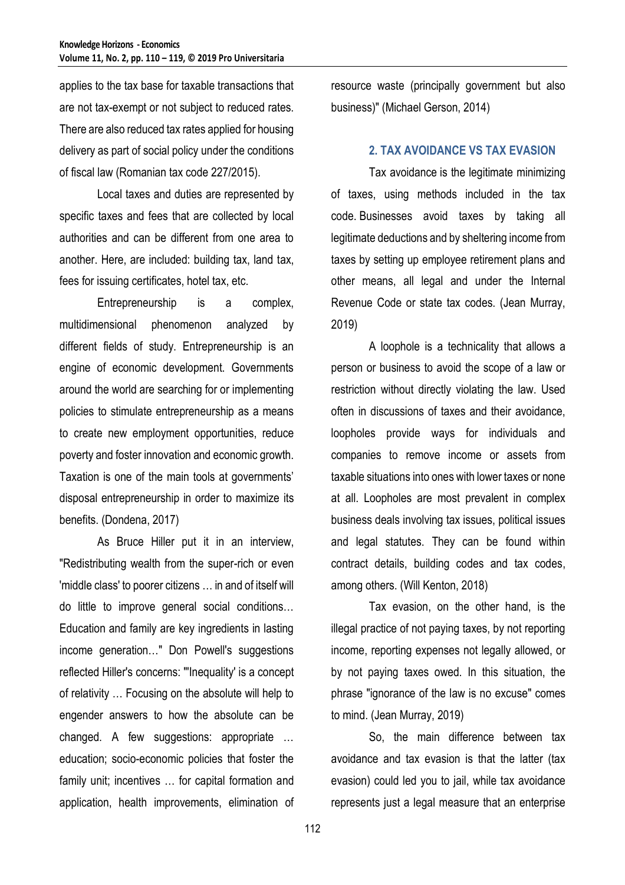applies to the tax base for taxable transactions that are not tax-exempt or not subject to reduced rates. There are also reduced tax rates applied for housing delivery as part of social policy under the conditions of fiscal law (Romanian tax code 227/2015).

Local taxes and duties are represented by specific taxes and fees that are collected by local authorities and can be different from one area to another. Here, are included: building tax, land tax, fees for issuing certificates, hotel tax, etc.

Entrepreneurship is a complex, multidimensional phenomenon analyzed by different fields of study. Entrepreneurship is an engine of economic development. Governments around the world are searching for or implementing policies to stimulate entrepreneurship as a means to create new employment opportunities, reduce poverty and foster innovation and economic growth. Taxation is one of the main tools at governments' disposal entrepreneurship in order to maximize its benefits. (Dondena, 2017)

As Bruce Hiller put it in an interview, "Redistributing wealth from the super-rich or even 'middle class' to poorer citizens … in and of itself will do little to improve general social conditions… Education and family are key ingredients in lasting income generation…" Don Powell's suggestions reflected Hiller's concerns: "'Inequality' is a concept of relativity … Focusing on the absolute will help to engender answers to how the absolute can be changed. A few suggestions: appropriate … education; socio-economic policies that foster the family unit; incentives … for capital formation and application, health improvements, elimination of

resource waste (principally government but also business)" (Michael Gerson, 2014)

#### **2. TAX AVOIDANCE VS TAX EVASION**

Tax avoidance is the legitimate minimizing of taxes, using methods included in the tax code. Businesses avoid taxes by taking all legitimate deductions and by sheltering income from taxes by setting up employee retirement plans and other means, all legal and under the Internal Revenue Code or state tax codes. (Jean Murray, 2019)

A loophole is a technicality that allows a person or business to avoid the scope of a law or restriction without directly violating the law. Used often in discussions of taxes and their avoidance, loopholes provide ways for individuals and companies to remove income or assets from taxable situations into ones with lower taxes or none at all. Loopholes are most prevalent in complex business deals involving tax issues, political issues and legal statutes. They can be found within contract details, building codes and tax codes, among others. (Will Kenton, 2018)

Tax evasion, on the other hand, is the illegal practice of not paying taxes, by not reporting income, reporting expenses not legally allowed, or by not paying taxes owed. In this situation, the phrase "ignorance of the law is no excuse" comes to mind. (Jean Murray, 2019)

So, the main difference between tax avoidance and tax evasion is that the latter (tax evasion) could led you to jail, while tax avoidance represents just a legal measure that an enterprise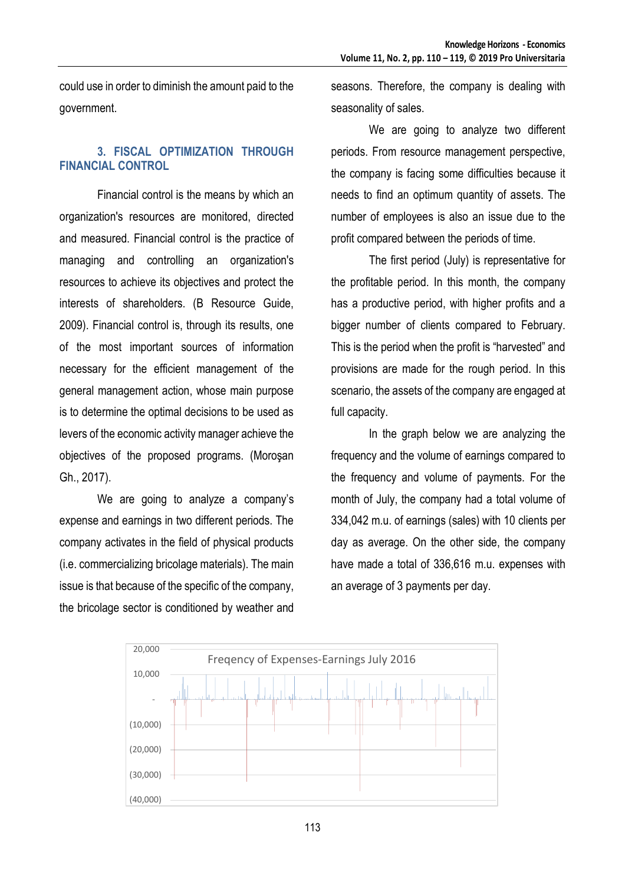could use in order to diminish the amount paid to the government.

# **3. FISCAL OPTIMIZATION THROUGH FINANCIAL CONTROL**

Financial control is the means by which an organization's resources are monitored, directed and measured. Financial control is the practice of managing and controlling an organization's resources to achieve its objectives and protect the interests of shareholders. (B Resource Guide, 2009). Financial control is, through its results, one of the most important sources of information necessary for the efficient management of the general management action, whose main purpose is to determine the optimal decisions to be used as levers of the economic activity manager achieve the objectives of the proposed programs. (Moroşan Gh., 2017).

We are going to analyze a company's expense and earnings in two different periods. The company activates in the field of physical products (i.e. commercializing bricolage materials). The main issue is that because of the specific of the company, the bricolage sector is conditioned by weather and seasons. Therefore, the company is dealing with seasonality of sales.

We are going to analyze two different periods. From resource management perspective, the company is facing some difficulties because it needs to find an optimum quantity of assets. The number of employees is also an issue due to the profit compared between the periods of time.

The first period (July) is representative for the profitable period. In this month, the company has a productive period, with higher profits and a bigger number of clients compared to February. This is the period when the profit is "harvested" and provisions are made for the rough period. In this scenario, the assets of the company are engaged at full capacity.

In the graph below we are analyzing the frequency and the volume of earnings compared to the frequency and volume of payments. For the month of July, the company had a total volume of 334,042 m.u. of earnings (sales) with 10 clients per day as average. On the other side, the company have made a total of 336,616 m.u. expenses with an average of 3 payments per day.

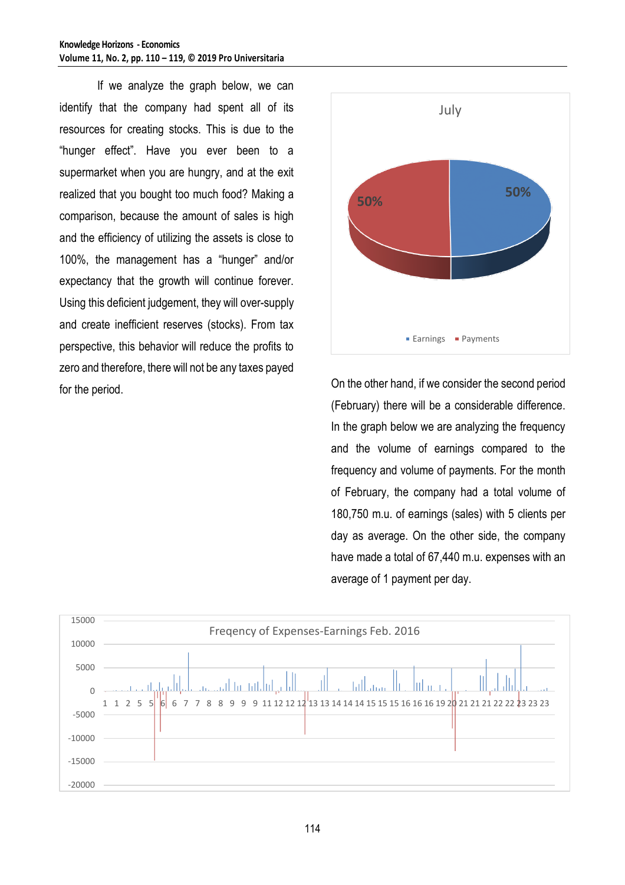If we analyze the graph below, we can identify that the company had spent all of its resources for creating stocks. This is due to the "hunger effect". Have you ever been to a supermarket when you are hungry, and at the exit realized that you bought too much food? Making a comparison, because the amount of sales is high and the efficiency of utilizing the assets is close to 100%, the management has a "hunger" and/or expectancy that the growth will continue forever. Using this deficient judgement, they will over-supply and create inefficient reserves (stocks). From tax perspective, this behavior will reduce the profits to zero and therefore, there will not be any taxes payed for the period. On the other hand, if we consider the second period



(February) there will be a considerable difference. In the graph below we are analyzing the frequency and the volume of earnings compared to the frequency and volume of payments. For the month of February, the company had a total volume of 180,750 m.u. of earnings (sales) with 5 clients per day as average. On the other side, the company have made a total of 67,440 m.u. expenses with an average of 1 payment per day.

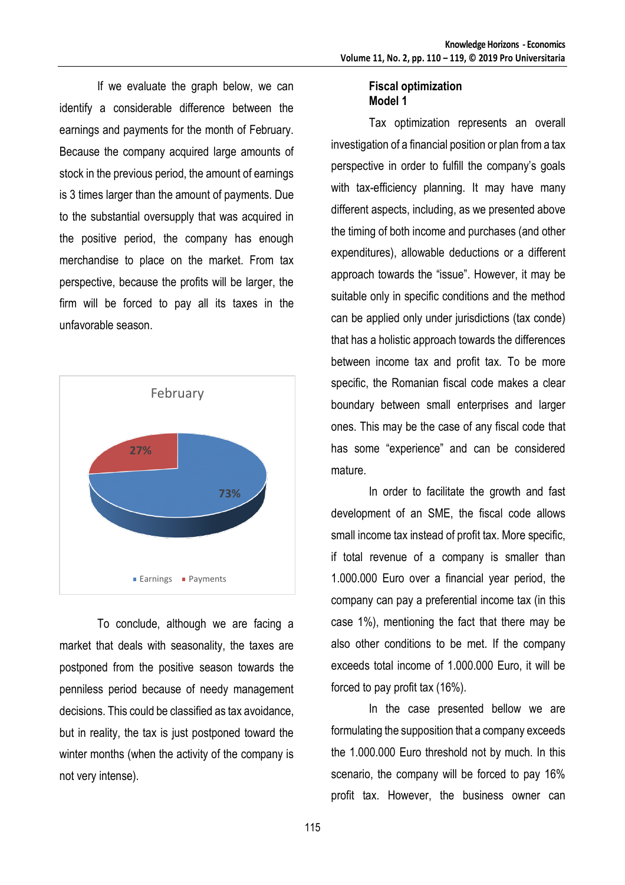If we evaluate the graph below, we can identify a considerable difference between the earnings and payments for the month of February. Because the company acquired large amounts of stock in the previous period, the amount of earnings is 3 times larger than the amount of payments. Due to the substantial oversupply that was acquired in the positive period, the company has enough merchandise to place on the market. From tax perspective, because the profits will be larger, the firm will be forced to pay all its taxes in the unfavorable season.



To conclude, although we are facing a market that deals with seasonality, the taxes are postponed from the positive season towards the penniless period because of needy management decisions. This could be classified as tax avoidance, but in reality, the tax is just postponed toward the winter months (when the activity of the company is not very intense).

## **Fiscal optimization Model 1**

Tax optimization represents an overall investigation of a financial position or plan from a tax perspective in order to fulfill the company's goals with tax-efficiency planning. It may have many different aspects, including, as we presented above the timing of both income and purchases (and other expenditures), allowable deductions or a different approach towards the "issue". However, it may be suitable only in specific conditions and the method can be applied only under jurisdictions (tax conde) that has a holistic approach towards the differences between income tax and profit tax. To be more specific, the Romanian fiscal code makes a clear boundary between small enterprises and larger ones. This may be the case of any fiscal code that has some "experience" and can be considered mature.

In order to facilitate the growth and fast development of an SME, the fiscal code allows small income tax instead of profit tax. More specific, if total revenue of a company is smaller than 1.000.000 Euro over a financial year period, the company can pay a preferential income tax (in this case 1%), mentioning the fact that there may be also other conditions to be met. If the company exceeds total income of 1.000.000 Euro, it will be forced to pay profit tax (16%).

In the case presented bellow we are formulating the supposition that a company exceeds the 1.000.000 Euro threshold not by much. In this scenario, the company will be forced to pay 16% profit tax. However, the business owner can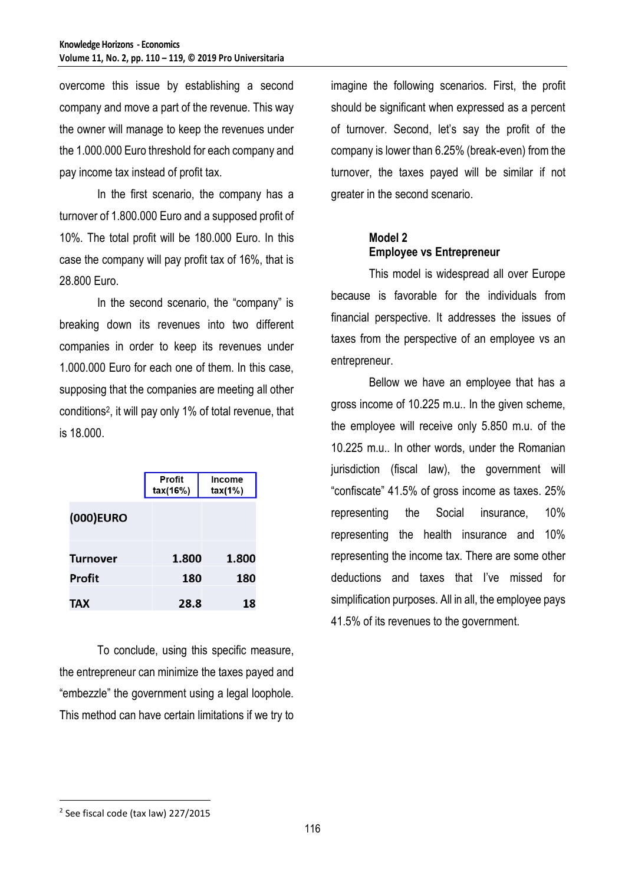overcome this issue by establishing a second company and move a part of the revenue. This way the owner will manage to keep the revenues under the 1.000.000 Euro threshold for each company and pay income tax instead of profit tax.

In the first scenario, the company has a turnover of 1.800.000 Euro and a supposed profit of 10%. The total profit will be 180.000 Euro. In this case the company will pay profit tax of 16%, that is 28.800 Euro.

In the second scenario, the "company" is breaking down its revenues into two different companies in order to keep its revenues under 1.000.000 Euro for each one of them. In this case, supposing that the companies are meeting all other conditions<sup>2</sup> , it will pay only 1% of total revenue, that is 18.000.

|                 | Profit<br>tax(16%) | Income<br>tax(1%) |
|-----------------|--------------------|-------------------|
| (000) EURO      |                    |                   |
| <b>Turnover</b> | 1.800              | 1.800             |
| <b>Profit</b>   | 180                | 180               |
| TAX             | 28.8               | 18                |

To conclude, using this specific measure, the entrepreneur can minimize the taxes payed and "embezzle" the government using a legal loophole. This method can have certain limitations if we try to

imagine the following scenarios. First, the profit should be significant when expressed as a percent of turnover. Second, let's say the profit of the company is lower than 6.25% (break-even) from the turnover, the taxes payed will be similar if not greater in the second scenario.

## **Model 2 Employee vs Entrepreneur**

This model is widespread all over Europe because is favorable for the individuals from financial perspective. It addresses the issues of taxes from the perspective of an employee vs an entrepreneur.

Bellow we have an employee that has a gross income of 10.225 m.u.. In the given scheme, the employee will receive only 5.850 m.u. of the 10.225 m.u.. In other words, under the Romanian jurisdiction (fiscal law), the government will "confiscate" 41.5% of gross income as taxes. 25% representing the Social insurance, 10% representing the health insurance and 10% representing the income tax. There are some other deductions and taxes that I've missed for simplification purposes. All in all, the employee pays 41.5% of its revenues to the government.

 $\overline{a}$ 

<sup>&</sup>lt;sup>2</sup> See fiscal code (tax law) 227/2015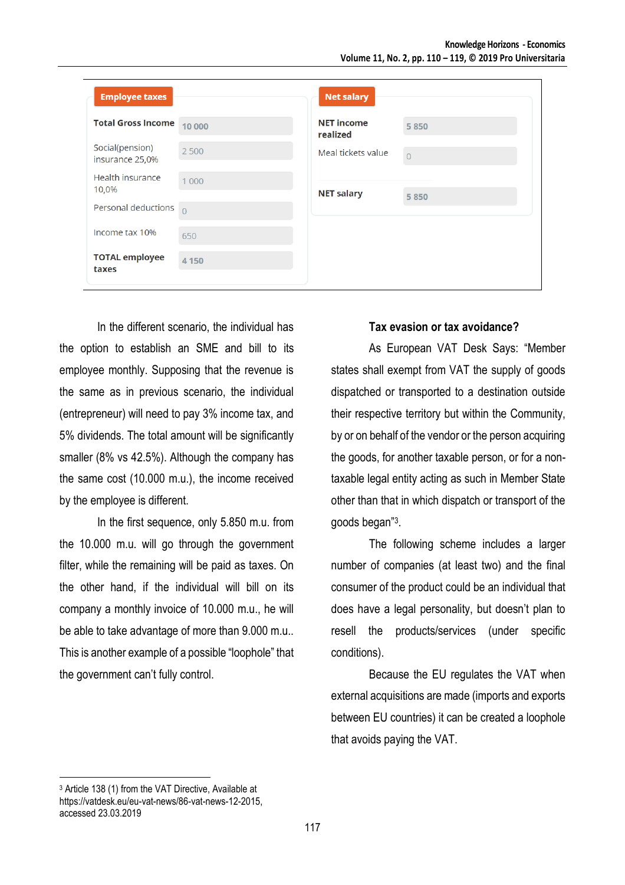| <b>Employee taxes</b>              |          | <b>Net salary</b>             |                |
|------------------------------------|----------|-------------------------------|----------------|
| <b>Total Gross Income</b>          | 10 000   | <b>NET income</b><br>realized | 5850           |
| Social(pension)<br>insurance 25,0% | 2 5 0 0  | Meal tickets value            | $\overline{0}$ |
| Health insurance<br>10,0%          | 1 0 0 0  | <b>NET salary</b>             | 5850           |
| Personal deductions                | $\Omega$ |                               |                |
| Income tax 10%                     | 650      |                               |                |
| <b>TOTAL employee</b><br>taxes     | 4 1 5 0  |                               |                |

In the different scenario, the individual has the option to establish an SME and bill to its employee monthly. Supposing that the revenue is the same as in previous scenario, the individual (entrepreneur) will need to pay 3% income tax, and 5% dividends. The total amount will be significantly smaller (8% vs 42.5%). Although the company has the same cost (10.000 m.u.), the income received by the employee is different.

In the first sequence, only 5.850 m.u. from the 10.000 m.u. will go through the government filter, while the remaining will be paid as taxes. On the other hand, if the individual will bill on its company a monthly invoice of 10.000 m.u., he will be able to take advantage of more than 9.000 m.u.. This is another example of a possible "loophole" that the government can't fully control.

# **Tax evasion or tax avoidance?**

As European VAT Desk Says: "Member states shall exempt from VAT the supply of goods dispatched or transported to a destination outside their respective territory but within the Community, by or on behalf of the vendor or the person acquiring the goods, for another taxable person, or for a nontaxable legal entity acting as such in Member State other than that in which dispatch or transport of the goods began" 3 .

The following scheme includes a larger number of companies (at least two) and the final consumer of the product could be an individual that does have a legal personality, but doesn't plan to resell the products/services (under specific conditions).

Because the EU regulates the VAT when external acquisitions are made (imports and exports between EU countries) it can be created a loophole that avoids paying the VAT.

 $\overline{a}$ 

<sup>3</sup> Article 138 (1) from the VAT Directive, Available at https://vatdesk.eu/eu-vat-news/86-vat-news-12-2015, accessed 23.03.2019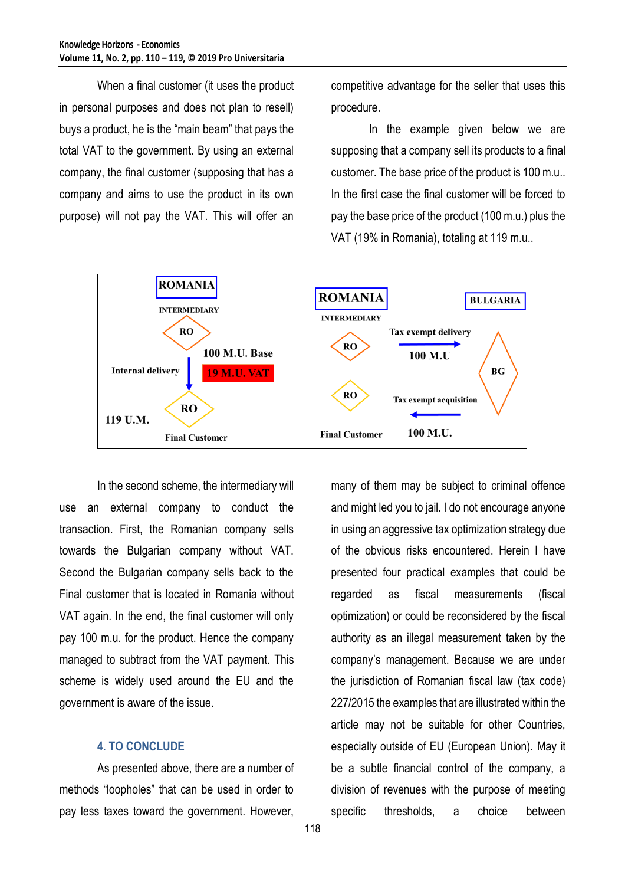When a final customer (it uses the product in personal purposes and does not plan to resell) buys a product, he is the "main beam" that pays the total VAT to the government. By using an external company, the final customer (supposing that has a company and aims to use the product in its own purpose) will not pay the VAT. This will offer an

competitive advantage for the seller that uses this procedure.

In the example given below we are supposing that a company sell its products to a final customer. The base price of the product is 100 m.u.. In the first case the final customer will be forced to pay the base price of the product (100 m.u.) plus the VAT (19% in Romania), totaling at 119 m.u..



In the second scheme, the intermediary will use an external company to conduct the transaction. First, the Romanian company sells towards the Bulgarian company without VAT. Second the Bulgarian company sells back to the Final customer that is located in Romania without VAT again. In the end, the final customer will only pay 100 m.u. for the product. Hence the company managed to subtract from the VAT payment. This scheme is widely used around the EU and the government is aware of the issue.

#### **4. TO CONCLUDE**

As presented above, there are a number of methods "loopholes" that can be used in order to pay less taxes toward the government. However,

many of them may be subject to criminal offence and might led you to jail. I do not encourage anyone in using an aggressive tax optimization strategy due of the obvious risks encountered. Herein I have presented four practical examples that could be regarded as fiscal measurements (fiscal optimization) or could be reconsidered by the fiscal authority as an illegal measurement taken by the company's management. Because we are under the jurisdiction of Romanian fiscal law (tax code) 227/2015 the examples that are illustrated within the article may not be suitable for other Countries, especially outside of EU (European Union). May it be a subtle financial control of the company, a division of revenues with the purpose of meeting specific thresholds, a choice between